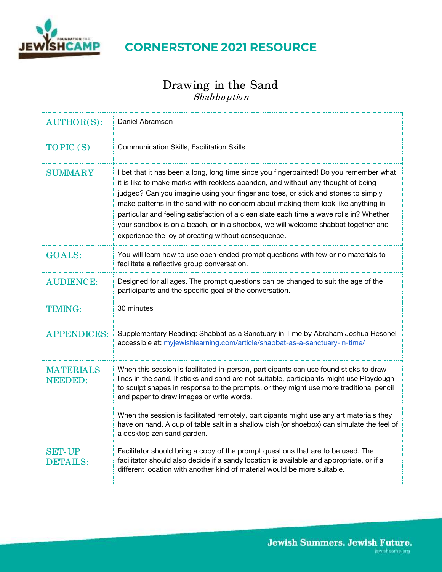

# **CORNERSTONE 2021 RESOURCE**

## Drawing in the Sand Shabboption

| $AUTHOR(S)$ :                      | Daniel Abramson                                                                                                                                                                                                                                                                                                                                                                                                                                                                                                                                                                             |
|------------------------------------|---------------------------------------------------------------------------------------------------------------------------------------------------------------------------------------------------------------------------------------------------------------------------------------------------------------------------------------------------------------------------------------------------------------------------------------------------------------------------------------------------------------------------------------------------------------------------------------------|
| TOPIC (S)                          | <b>Communication Skills, Facilitation Skills</b>                                                                                                                                                                                                                                                                                                                                                                                                                                                                                                                                            |
| <b>SUMMARY</b>                     | I bet that it has been a long, long time since you fingerpainted! Do you remember what<br>it is like to make marks with reckless abandon, and without any thought of being<br>judged? Can you imagine using your finger and toes, or stick and stones to simply<br>make patterns in the sand with no concern about making them look like anything in<br>particular and feeling satisfaction of a clean slate each time a wave rolls in? Whether<br>your sandbox is on a beach, or in a shoebox, we will welcome shabbat together and<br>experience the joy of creating without consequence. |
| <b>GOALS:</b>                      | You will learn how to use open-ended prompt questions with few or no materials to<br>facilitate a reflective group conversation.                                                                                                                                                                                                                                                                                                                                                                                                                                                            |
| <b>AUDIENCE:</b>                   | Designed for all ages. The prompt questions can be changed to suit the age of the<br>participants and the specific goal of the conversation.                                                                                                                                                                                                                                                                                                                                                                                                                                                |
| <b>TIMING:</b>                     | 30 minutes                                                                                                                                                                                                                                                                                                                                                                                                                                                                                                                                                                                  |
| <b>APPENDICES:</b>                 | Supplementary Reading: Shabbat as a Sanctuary in Time by Abraham Joshua Heschel<br>accessible at: myjewishlearning.com/article/shabbat-as-a-sanctuary-in-time/                                                                                                                                                                                                                                                                                                                                                                                                                              |
| <b>MATERIALS</b><br><b>NEEDED:</b> | When this session is facilitated in-person, participants can use found sticks to draw<br>lines in the sand. If sticks and sand are not suitable, participants might use Playdough<br>to sculpt shapes in response to the prompts, or they might use more traditional pencil<br>and paper to draw images or write words.<br>When the session is facilitated remotely, participants might use any art materials they<br>have on hand. A cup of table salt in a shallow dish (or shoebox) can simulate the feel of<br>a desktop zen sand garden.                                               |
| <b>SET-UP</b><br><b>DETAILS:</b>   | Facilitator should bring a copy of the prompt questions that are to be used. The<br>facilitator should also decide if a sandy location is available and appropriate, or if a<br>different location with another kind of material would be more suitable.                                                                                                                                                                                                                                                                                                                                    |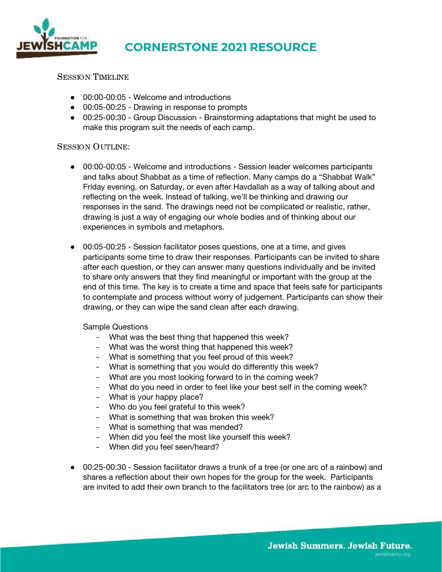

# **CORNERSTONE 2021 RESOURCE**

### SESSION TIMELINE

- 00:00-00:05 Welcome and introductions
- 00:05-00:25 Drawing in response to prompts
- 00:25-00:30 Group Discussion Brainstorming adaptations that might be used to make this program suit the needs of each camp.

#### SESSION OUTLINE:

- 00:00-00:05 Welcome and introductions Session leader welcomes participants and talks about Shabbat as a time of reflection. Many camps do a "Shabbat Walk" Friday evening, on Saturday, or even after Havdallah as a way of talking about and reflecting on the week. Instead of talking, we'll be thinking and drawing our responses in the sand. The drawings need not be complicated or realistic, rather, drawing is just a way of engaging our whole bodies and of thinking about our experiences in symbols and metaphors.
- 00:05-00:25 Session facilitator poses questions, one at a time, and gives participants some time to draw their responses. Participants can be invited to share after each question, or they can answer many questions individually and be invited to share only answers that they find meaningful or important with the group at the end of this time. The key is to create a time and space that feels safe for participants to contemplate and process without worry of judgement. Participants can show their drawing, or they can wipe the sand clean after each drawing.

Sample Questions

- What was the best thing that happened this week?
- What was the worst thing that happened this week?
- What is something that you feel proud of this week?
- What is something that you would do differently this week?
- What are you most looking forward to in the coming week?
- What do you need in order to feel like your best self in the coming week?
- What is your happy place?
- Who do you feel grateful to this week?
- What is something that was broken this week?
- What is something that was mended?
- When did you feel the most like yourself this week?
- When did you feel seen/heard?
- 00:25-00:30 Session facilitator draws a trunk of a tree (or one arc of a rainbow) and shares a reflection about their own hopes for the group for the week. Participants are invited to add their own branch to the facilitators tree (or arc to the rainbow) as a